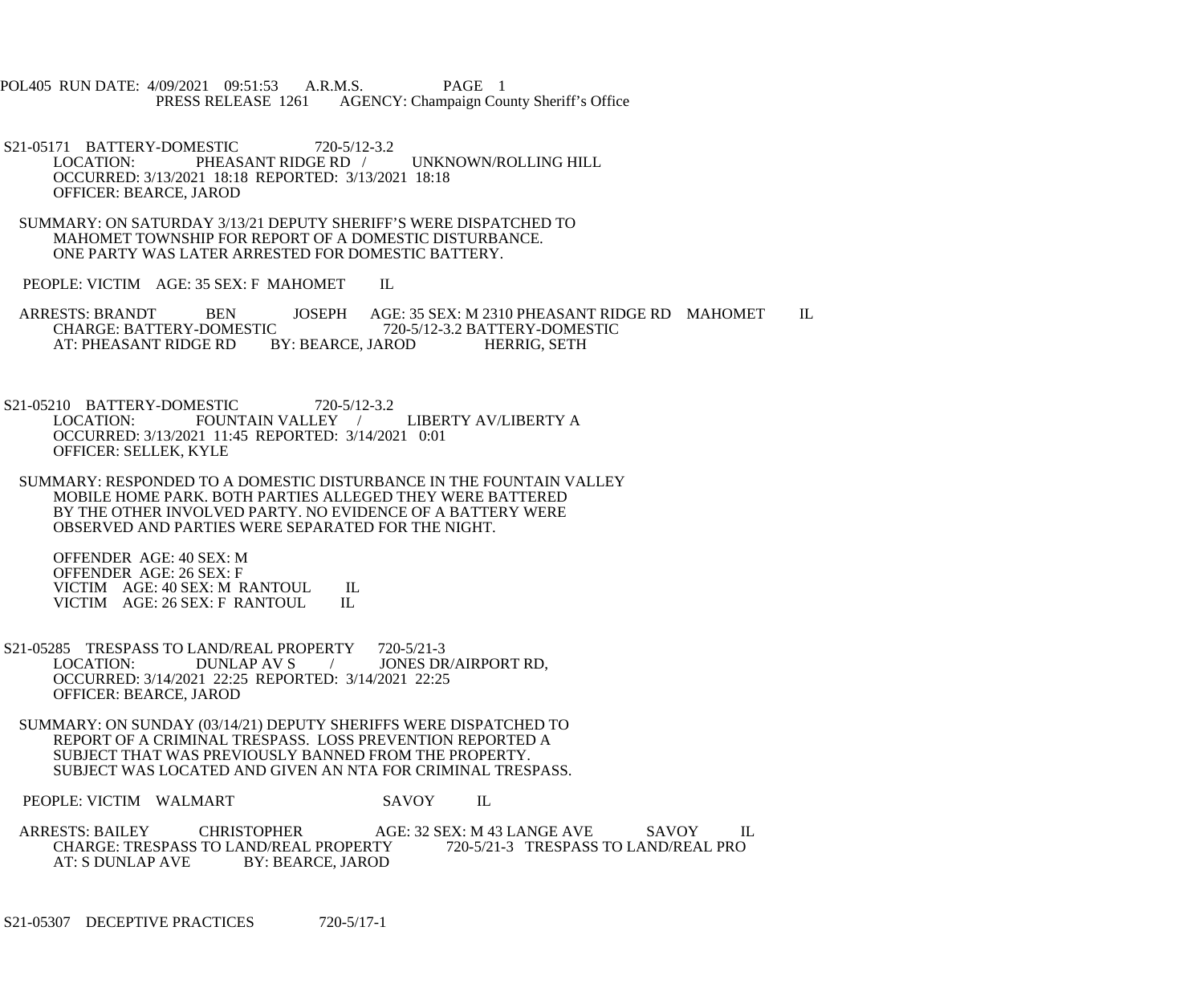POL405 RUN DATE: 4/09/2021 09:51:53 A.R.M.S. PAGE 1<br>PRESS RELEASE 1261 AGENCY: Champaign Cou AGENCY: Champaign County Sheriff's Office

- S21-05171 BATTERY-DOMESTIC 720-5/12-3.2<br>LOCATION: PHEASANT RIDGE RD / UNKNOWN/ROLLING HILL OCCURRED: 3/13/2021 18:18 REPORTED: 3/13/2021 18:18 OFFICER: BEARCE, JAROD
- SUMMARY: ON SATURDAY 3/13/21 DEPUTY SHERIFF'S WERE DISPATCHED TO MAHOMET TOWNSHIP FOR REPORT OF A DOMESTIC DISTURBANCE. ONE PARTY WAS LATER ARRESTED FOR DOMESTIC BATTERY.
- PEOPLE: VICTIM AGE: 35 SEX: F MAHOMET IL

ARRESTS: BRANDT BEN JOSEPH AGE: 35 SEX: M 2310 PHEASANT RIDGE RD MAHOMET IL CHARGE: BATTERY-DOMESTIC 720-5/12-3.2 BATTERY-DOMESTIC CHARGE: BATTERY-DOMESTIC 720-5.<br>AT: PHEASANT RIDGE RD BY: BEARCE, JAROD AT: PHEASANT RIDGE RD BY: BEARCE, JAROD HERRIG, SETH

S21-05210 BATTERY-DOMESTIC 720-5/12-3.2<br>LOCATION: FOUNTAIN VALLEY FOUNTAIN VALLEY / LIBERTY AV/LIBERTY A OCCURRED: 3/13/2021 11:45 REPORTED: 3/14/2021 0:01 OFFICER: SELLEK, KYLE

 SUMMARY: RESPONDED TO A DOMESTIC DISTURBANCE IN THE FOUNTAIN VALLEY MOBILE HOME PARK. BOTH PARTIES ALLEGED THEY WERE BATTERED BY THE OTHER INVOLVED PARTY. NO EVIDENCE OF A BATTERY WERE OBSERVED AND PARTIES WERE SEPARATED FOR THE NIGHT.

 OFFENDER AGE: 40 SEX: M OFFENDER AGE: 26 SEX: F VICTIM AGE: 40 SEX: M RANTOUL IL<br>VICTIM AGE: 26 SEX: F RANTOUL IL VICTIM AGE: 26 SEX: F RANTOUL

- S21-05285 TRESPASS TO LAND/REAL PROPERTY 720-5/21-3<br>LOCATION: DUNLAP AV S / JONES DR / JONES DR/AIRPORT RD. OCCURRED: 3/14/2021 22:25 REPORTED: 3/14/2021 22:25 OFFICER: BEARCE, JAROD
- SUMMARY: ON SUNDAY (03/14/21) DEPUTY SHERIFFS WERE DISPATCHED TO REPORT OF A CRIMINAL TRESPASS. LOSS PREVENTION REPORTED A SUBJECT THAT WAS PREVIOUSLY BANNED FROM THE PROPERTY. SUBJECT WAS LOCATED AND GIVEN AN NTA FOR CRIMINAL TRESPASS.

PEOPLE: VICTIM WALMART SAVOY IL

ARRESTS: BAILEY CHRISTOPHER AGE: 32 SEX: M 43 LANGE AVE SAVOY IL CHARGE: TRESPASS TO LAND/REAL PROPERTY 720-5/21-3 TRESPASS TO LAND/REAL PRO<br>AT: S DUNLAP AVE BY: BEARCE, JAROD BY: BEARCE, JAROD

S21-05307 DECEPTIVE PRACTICES 720-5/17-1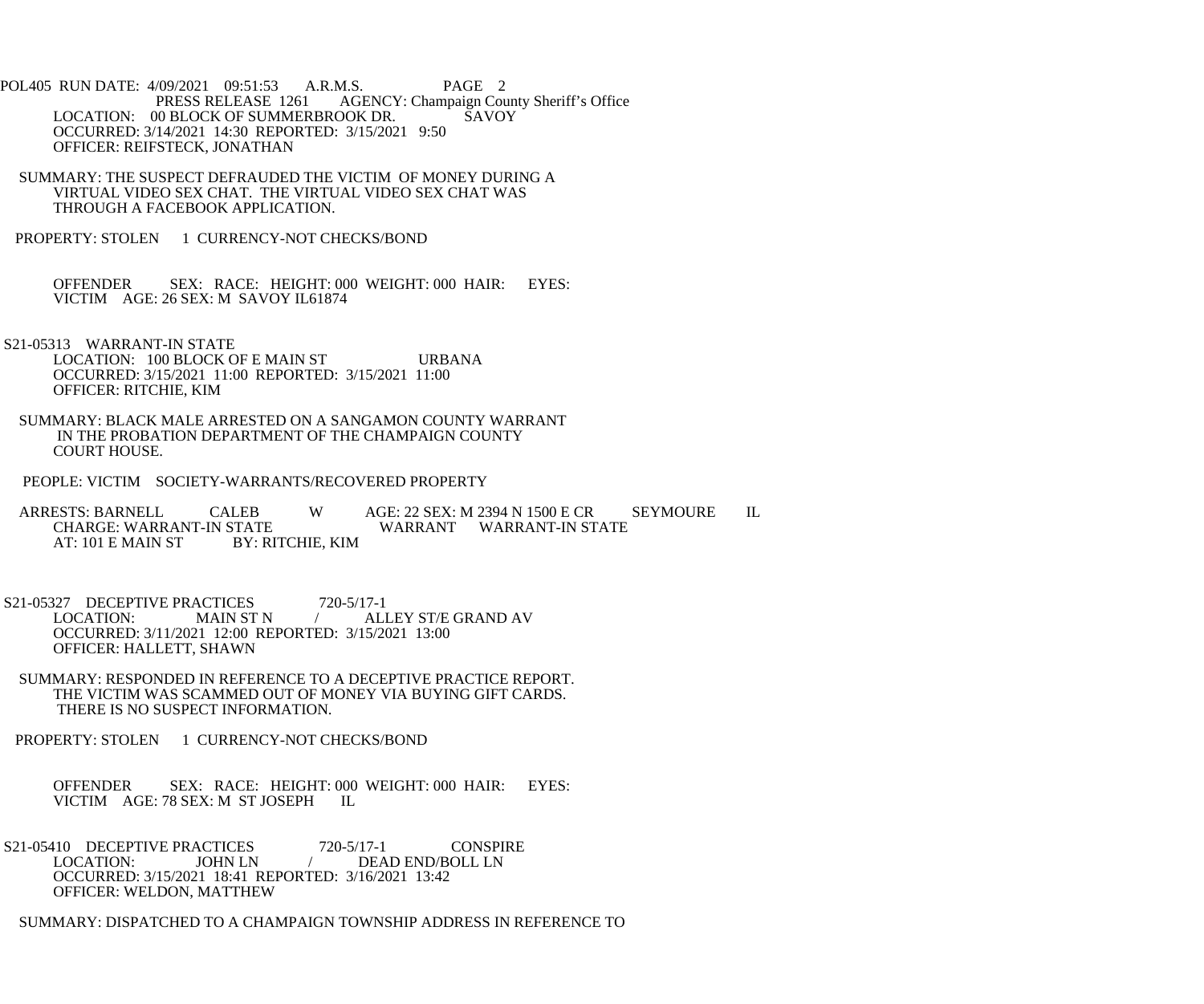POL405 RUN DATE: 4/09/2021 09:51:53 A.R.M.S. PAGE 2<br>PRESS RELEASE 1261 AGENCY: Champaign Cou AGENCY: Champaign County Sheriff's Office LOCATION: 00 BLOCK OF SUMMERBROOK DR. SAVOY OCCURRED: 3/14/2021 14:30 REPORTED: 3/15/2021 9:50 OFFICER: REIFSTECK, JONATHAN

- SUMMARY: THE SUSPECT DEFRAUDED THE VICTIM OF MONEY DURING A VIRTUAL VIDEO SEX CHAT. THE VIRTUAL VIDEO SEX CHAT WAS THROUGH A FACEBOOK APPLICATION.
- PROPERTY: STOLEN 1 CURRENCY-NOT CHECKS/BOND

 OFFENDER SEX: RACE: HEIGHT: 000 WEIGHT: 000 HAIR: EYES: VICTIM AGE: 26 SEX: M SAVOY IL61874

 S21-05313 WARRANT-IN STATE LOCATION: 100 BLOCK OF E MAIN ST URBANA OCCURRED: 3/15/2021 11:00 REPORTED: 3/15/2021 11:00 OFFICER: RITCHIE, KIM

- SUMMARY: BLACK MALE ARRESTED ON A SANGAMON COUNTY WARRANT IN THE PROBATION DEPARTMENT OF THE CHAMPAIGN COUNTY COURT HOUSE.
- PEOPLE: VICTIM SOCIETY-WARRANTS/RECOVERED PROPERTY

ARRESTS: BARNELL CALEB W AGE: 22 SEX: M 2394 N 1500 E CR SEYMOURE IL CHARGE: WARRANT WARRANT WARRANT-IN STATE STATE WARRANT WARRANT-IN STATE BY: RITCHIE, KIM AT: 101 E MAIN ST

S21-05327 DECEPTIVE PRACTICES 720-5/17-1 LOCATION: MAIN ST N / ALLEY ST/E GRAND AV OCCURRED: 3/11/2021 12:00 REPORTED: 3/15/2021 13:00 OFFICER: HALLETT, SHAWN

- SUMMARY: RESPONDED IN REFERENCE TO A DECEPTIVE PRACTICE REPORT. THE VICTIM WAS SCAMMED OUT OF MONEY VIA BUYING GIFT CARDS. THERE IS NO SUSPECT INFORMATION.
- PROPERTY: STOLEN 1 CURRENCY-NOT CHECKS/BOND

OFFENDER SEX: RACE: HEIGHT: 000 WEIGHT: 000 HAIR: EYES: VICTIM AGE: 78 SEX: M ST JOSEPH II. VICTIM AGE: 78 SEX: M ST JOSEPH

S21-05410 DECEPTIVE PRACTICES 720-5/17-1 CONSPIRE<br>LOCATION: JOHN LN / DEAD END/BOLL LN JOHN LN / DEAD END/BOLL LN OCCURRED: 3/15/2021 18:41 REPORTED: 3/16/2021 13:42 OFFICER: WELDON, MATTHEW

SUMMARY: DISPATCHED TO A CHAMPAIGN TOWNSHIP ADDRESS IN REFERENCE TO